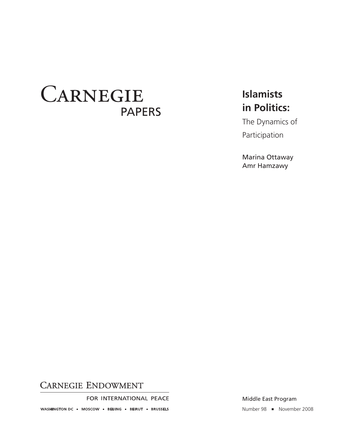# CARNEGIE **PAPERS**

## **Islamists** in Politics:

The Dynamics of Participation

Marina Ottaway Amr Hamzawy

## **CARNEGIE ENDOWMENT**

FOR INTERNATIONAL PEACE

WASHINGTON DC = MOSCOW = BEIJING = BEIRUT = BRUSSELS

Middle East Program

Number 98 = November 2008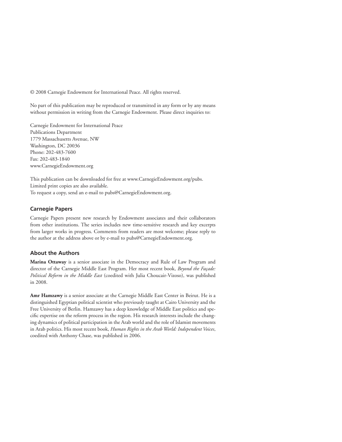© 2008 Carnegie Endowment for International Peace. All rights reserved.

No part of this publication may be reproduced or transmitted in any form or by any means without permission in writing from the Carnegie Endowment. Please direct inquiries to:

Carnegie Endowment for International Peace Publications Department 1779 Massachusetts Avenue, NW Washington, DC 20036 Phone: 202-483-7600 Fax: 202-483-1840 www.CarnegieEndowment.org

This publication can be downloaded for free at www.CarnegieEndowment.org/pubs. Limited print copies are also available. To request a copy, send an e-mail to pubs@CarnegieEndowment.org.

#### **Carnegie Papers**

Carnegie Papers present new research by Endowment associates and their collaborators from other institutions. The series includes new time-sensitive research and key excerpts from larger works in progress. Comments from readers are most welcome; please reply to the author at the address above or by e-mail to pubs@CarnegieEndowment.org.

#### **About the Authors**

**Marina Ottaway** is a senior associate in the Democracy and Rule of Law Program and director of the Carnegie Middle East Program. Her most recent book, *Beyond the Façade: Political Reform in the Middle East* (coedited with Julia Choucair-Vizoso), was published in 2008.

**Amr Hamzawy** is a senior associate at the Carnegie Middle East Center in Beirut. He is a distinguished Egyptian political scientist who previously taught at Cairo University and the Free University of Berlin. Hamzawy has a deep knowledge of Middle East politics and specific expertise on the reform process in the region. His research interests include the changing dynamics of political participation in the Arab world and the role of Islamist movements in Arab politics. His most recent book, *Human Rights in the Arab World: Independent Voices*, coedited with Anthony Chase, was published in 2006.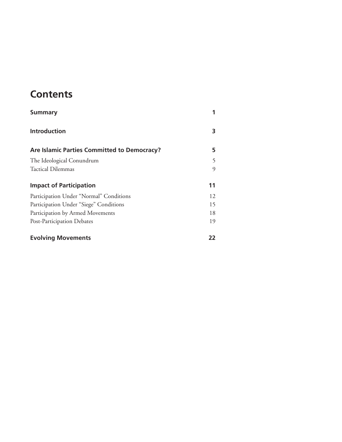## **Contents**

| <b>Summary</b>                              |    |
|---------------------------------------------|----|
| <b>Introduction</b>                         | 3  |
| Are Islamic Parties Committed to Democracy? | 5  |
| The Ideological Conundrum                   | 5  |
| Tactical Dilemmas                           | 9  |
| <b>Impact of Participation</b>              | 11 |
| Participation Under "Normal" Conditions     | 12 |
| Participation Under "Siege" Conditions      | 15 |
| Participation by Armed Movements            | 18 |
| Post-Participation Debates                  | 19 |
| <b>Evolving Movements</b>                   | 22 |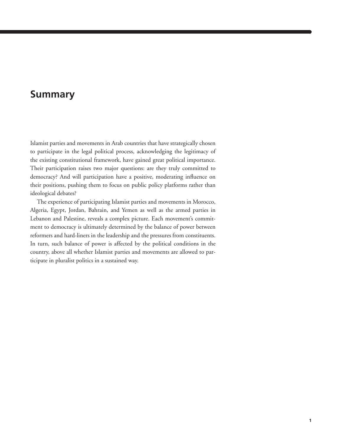## **Summary**

Islamist parties and movements in Arab countries that have strategically chosen to participate in the legal political process, acknowledging the legitimacy of the existing constitutional framework, have gained great political importance. Their participation raises two major questions: are they truly committed to democracy? And will participation have a positive, moderating influence on their positions, pushing them to focus on public policy platforms rather than ideological debates?

The experience of participating Islamist parties and movements in Morocco, Algeria, Egypt, Jordan, Bahrain, and Yemen as well as the armed parties in Lebanon and Palestine, reveals a complex picture. Each movement's commitment to democracy is ultimately determined by the balance of power between reformers and hard-liners in the leadership and the pressures from constituents. In turn, such balance of power is affected by the political conditions in the country, above all whether Islamist parties and movements are allowed to participate in pluralist politics in a sustained way.

Valery Tishkov | **1**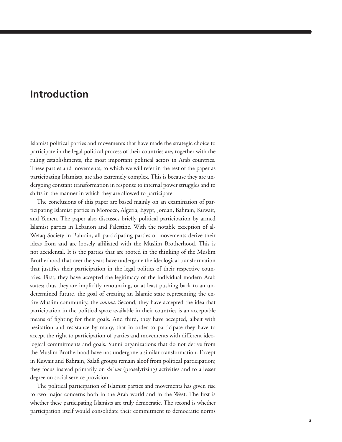## **Introduction**

Islamist political parties and movements that have made the strategic choice to participate in the legal political process of their countries are, together with the ruling establishments, the most important political actors in Arab countries. These parties and movements, to which we will refer in the rest of the paper as participating Islamists, are also extremely complex. This is because they are undergoing constant transformation in response to internal power struggles and to shifts in the manner in which they are allowed to participate.

The conclusions of this paper are based mainly on an examination of participating Islamist parties in Morocco, Algeria, Egypt, Jordan, Bahrain, Kuwait, and Yemen. The paper also discusses briefly political participation by armed Islamist parties in Lebanon and Palestine. With the notable exception of al-Wefaq Society in Bahrain, all participating parties or movements derive their ideas from and are loosely affiliated with the Muslim Brotherhood. This is not accidental. It is the parties that are rooted in the thinking of the Muslim Brotherhood that over the years have undergone the ideological transformation that justifies their participation in the legal politics of their respective countries. First, they have accepted the legitimacy of the individual modern Arab states; thus they are implicitly renouncing, or at least pushing back to an undetermined future, the goal of creating an Islamic state representing the entire Muslim community, the *umma*. Second, they have accepted the idea that participation in the political space available in their countries is an acceptable means of fighting for their goals. And third, they have accepted, albeit with hesitation and resistance by many, that in order to participate they have to accept the right to participation of parties and movements with different ideological commitments and goals. Sunni organizations that do not derive from the Muslim Brotherhood have not undergone a similar transformation. Except in Kuwait and Bahrain, Salafi groups remain aloof from political participation; they focus instead primarily on *da`wa* (proselytizing) activities and to a lesser degree on social service provision.

The political participation of Islamist parties and movements has given rise to two major concerns both in the Arab world and in the West. The first is whether these participating Islamists are truly democratic. The second is whether participation itself would consolidate their commitment to democratic norms

Valery Tishkov | **3**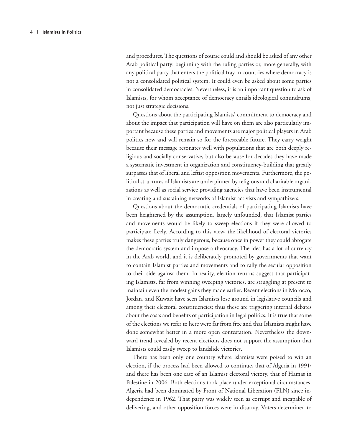and procedures. The questions of course could and should be asked of any other Arab political party: beginning with the ruling parties or, more generally, with any political party that enters the political fray in countries where democracy is not a consolidated political system. It could even be asked about some parties in consolidated democracies. Nevertheless, it is an important question to ask of Islamists, for whom acceptance of democracy entails ideological conundrums, not just strategic decisions.

Questions about the participating Islamists' commitment to democracy and about the impact that participation will have on them are also particularly important because these parties and movements are major political players in Arab politics now and will remain so for the foreseeable future. They carry weight because their message resonates well with populations that are both deeply religious and socially conservative, but also because for decades they have made a systematic investment in organization and constituency-building that greatly surpasses that of liberal and leftist opposition movements. Furthermore, the political structures of Islamists are underpinned by religious and charitable organizations as well as social service providing agencies that have been instrumental in creating and sustaining networks of Islamist activists and sympathizers.

Questions about the democratic credentials of participating Islamists have been heightened by the assumption, largely unfounded, that Islamist parties and movements would be likely to sweep elections if they were allowed to participate freely. According to this view, the likelihood of electoral victories makes these parties truly dangerous, because once in power they could abrogate the democratic system and impose a theocracy. The idea has a lot of currency in the Arab world, and it is deliberately promoted by governments that want to contain Islamist parties and movements and to rally the secular opposition to their side against them. In reality, election returns suggest that participating Islamists, far from winning sweeping victories, are struggling at present to maintain even the modest gains they made earlier. Recent elections in Morocco, Jordan, and Kuwait have seen Islamists lose ground in legislative councils and among their electoral constituencies; thus these are triggering internal debates about the costs and benefits of participation in legal politics. It is true that some of the elections we refer to here were far from free and that Islamists might have done somewhat better in a more open contestation. Nevertheless the downward trend revealed by recent elections does not support the assumption that Islamists could easily sweep to landslide victories.

There has been only one country where Islamists were poised to win an election, if the process had been allowed to continue, that of Algeria in 1991; and there has been one case of an Islamist electoral victory, that of Hamas in Palestine in 2006. Both elections took place under exceptional circumstances. Algeria had been dominated by Front of National Liberation (FLN) since independence in 1962. That party was widely seen as corrupt and incapable of delivering, and other opposition forces were in disarray. Voters determined to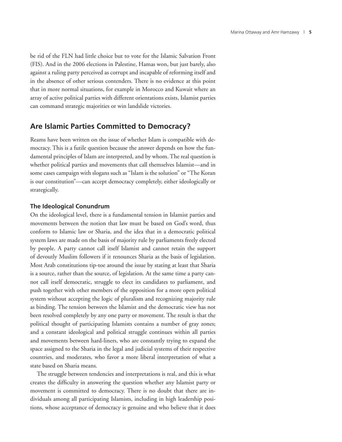be rid of the FLN had little choice but to vote for the Islamic Salvation Front (FIS). And in the 2006 elections in Palestine, Hamas won, but just barely, also against a ruling party perceived as corrupt and incapable of reforming itself and in the absence of other serious contenders. There is no evidence at this point that in more normal situations, for example in Morocco and Kuwait where an array of active political parties with different orientations exists, Islamist parties can command strategic majorities or win landslide victories.

#### **Are Islamic Parties Committed to Democracy?**

Reams have been written on the issue of whether Islam is compatible with democracy. This is a futile question because the answer depends on how the fundamental principles of Islam are interpreted, and by whom. The real question is whether political parties and movements that call themselves Islamist—and in some cases campaign with slogans such as "Islam is the solution" or "The Koran is our constitution"—can accept democracy completely, either ideologically or strategically.

#### **The Ideological Conundrum**

On the ideological level, there is a fundamental tension in Islamist parties and movements between the notion that law must be based on God's word, thus conform to Islamic law or Sharia, and the idea that in a democratic political system laws are made on the basis of majority rule by parliaments freely elected by people. A party cannot call itself Islamist and cannot retain the support of devoutly Muslim followers if it renounces Sharia as the basis of legislation. Most Arab constitutions tip-toe around the issue by stating at least that Sharia is a source, rather than the source, of legislation. At the same time a party cannot call itself democratic, struggle to elect its candidates to parliament, and push together with other members of the opposition for a more open political system without accepting the logic of pluralism and recognizing majority rule as binding. The tension between the Islamist and the democratic view has not been resolved completely by any one party or movement. The result is that the political thought of participating Islamists contains a number of gray zones; and a constant ideological and political struggle continues within all parties and movements between hard-liners, who are constantly trying to expand the space assigned to the Sharia in the legal and judicial systems of their respective countries, and moderates, who favor a more liberal interpretation of what a state based on Sharia means.

The struggle between tendencies and interpretations is real, and this is what creates the difficulty in answering the question whether any Islamist party or movement is committed to democracy. There is no doubt that there are individuals among all participating Islamists, including in high leadership positions, whose acceptance of democracy is genuine and who believe that it does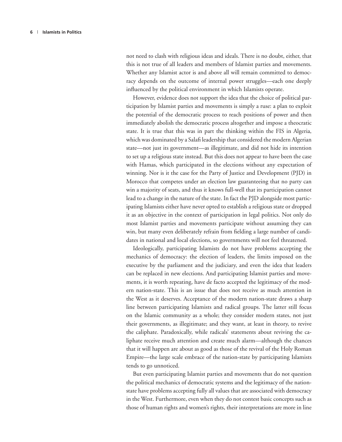not need to clash with religious ideas and ideals. There is no doubt, either, that this is not true of all leaders and members of Islamist parties and movements. Whether any Islamist actor is and above all will remain committed to democracy depends on the outcome of internal power struggles—each one deeply influenced by the political environment in which Islamists operate.

However, evidence does not support the idea that the choice of political participation by Islamist parties and movements is simply a ruse: a plan to exploit the potential of the democratic process to reach positions of power and then immediately abolish the democratic process altogether and impose a theocratic state. It is true that this was in part the thinking within the FIS in Algeria, which was dominated by a Salafi leadership that considered the modern Algerian state—not just its government—as illegitimate, and did not hide its intention to set up a religious state instead. But this does not appear to have been the case with Hamas, which participated in the elections without any expectation of winning. Nor is it the case for the Party of Justice and Development (PJD) in Morocco that competes under an election law guaranteeing that no party can win a majority of seats, and thus it knows full-well that its participation cannot lead to a change in the nature of the state. In fact the PJD alongside most participating Islamists either have never opted to establish a religious state or dropped it as an objective in the context of participation in legal politics. Not only do most Islamist parties and movements participate without assuming they can win, but many even deliberately refrain from fielding a large number of candidates in national and local elections, so governments will not feel threatened.

Ideologically, participating Islamists do not have problems accepting the mechanics of democracy: the election of leaders, the limits imposed on the executive by the parliament and the judiciary, and even the idea that leaders can be replaced in new elections. And participating Islamist parties and movements, it is worth repeating, have de facto accepted the legitimacy of the modern nation-state. This is an issue that does not receive as much attention in the West as it deserves. Acceptance of the modern nation-state draws a sharp line between participating Islamists and radical groups. The latter still focus on the Islamic community as a whole; they consider modern states, not just their governments, as illegitimate; and they want, at least in theory, to revive the caliphate. Paradoxically, while radicals' statements about reviving the caliphate receive much attention and create much alarm—although the chances that it will happen are about as good as those of the revival of the Holy Roman Empire—the large scale embrace of the nation-state by participating Islamists tends to go unnoticed.

But even participating Islamist parties and movements that do not question the political mechanics of democratic systems and the legitimacy of the nationstate have problems accepting fully all values that are associated with democracy in the West. Furthermore, even when they do not contest basic concepts such as those of human rights and women's rights, their interpretations are more in line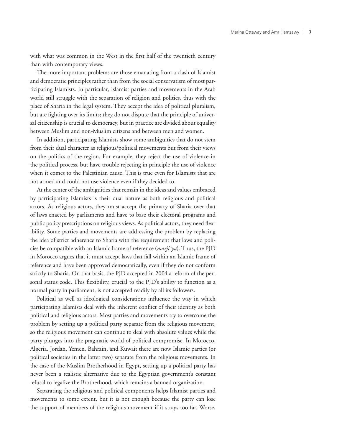with what was common in the West in the first half of the twentieth century than with contemporary views.

The more important problems are those emanating from a clash of Islamist and democratic principles rather than from the social conservatism of most participating Islamists. In particular, Islamist parties and movements in the Arab world still struggle with the separation of religion and politics, thus with the place of Sharia in the legal system. They accept the idea of political pluralism, but are fighting over its limits; they do not dispute that the principle of universal citizenship is crucial to democracy, but in practice are divided about equality between Muslim and non-Muslim citizens and between men and women.

In addition, participating Islamists show some ambiguities that do not stem from their dual character as religious/political movements but from their views on the politics of the region. For example, they reject the use of violence in the political process, but have trouble rejecting in principle the use of violence when it comes to the Palestinian cause. This is true even for Islamists that are not armed and could not use violence even if they decided to.

At the center of the ambiguities that remain in the ideas and values embraced by participating Islamists is their dual nature as both religious and political actors. As religious actors, they must accept the primacy of Sharia over that of laws enacted by parliaments and have to base their electoral programs and public policy prescriptions on religious views. As political actors, they need flexibility. Some parties and movements are addressing the problem by replacing the idea of strict adherence to Sharia with the requirement that laws and policies be compatible with an Islamic frame of reference (*marji`ya*). Thus, the PJD in Morocco argues that it must accept laws that fall within an Islamic frame of reference and have been approved democratically, even if they do not conform strictly to Sharia. On that basis, the PJD accepted in 2004 a reform of the personal status code. This flexibility, crucial to the PJD's ability to function as a normal party in parliament, is not accepted readily by all its followers.

Political as well as ideological considerations influence the way in which participating Islamists deal with the inherent conflict of their identity as both political and religious actors. Most parties and movements try to overcome the problem by setting up a political party separate from the religious movement, so the religious movement can continue to deal with absolute values while the party plunges into the pragmatic world of political compromise. In Morocco, Algeria, Jordan, Yemen, Bahrain, and Kuwait there are now Islamic parties (or political societies in the latter two) separate from the religious movements. In the case of the Muslim Brotherhood in Egypt, setting up a political party has never been a realistic alternative due to the Egyptian government's constant refusal to legalize the Brotherhood, which remains a banned organization.

Separating the religious and political components helps Islamist parties and movements to some extent, but it is not enough because the party can lose the support of members of the religious movement if it strays too far. Worse,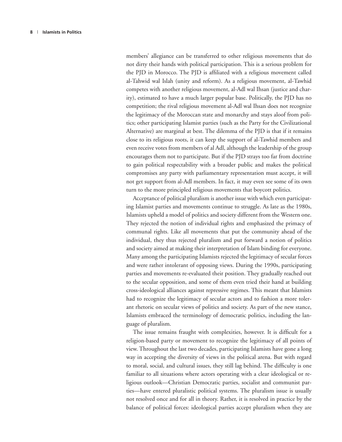members' allegiance can be transferred to other religious movements that do not dirty their hands with political participation. This is a serious problem for the PJD in Morocco. The PJD is affiliated with a religious movement called al-Tahwid wal Islah (unity and reform). As a religious movement, al-Tawhid competes with another religious movement, al-Adl wal Ihsan (justice and charity), estimated to have a much larger popular base. Politically, the PJD has no competition; the rival religious movement al-Adl wal Ihsan does not recognize the legitimacy of the Moroccan state and monarchy and stays aloof from politics; other participating Islamist parties (such as the Party for the Civilizational Alternative) are marginal at best. The dilemma of the PJD is that if it remains close to its religious roots, it can keep the support of al-Tawhid members and even receive votes from members of al Adl, although the leadership of the group encourages them not to participate. But if the PJD strays too far from doctrine to gain political respectability with a broader public and makes the political compromises any party with parliamentary representation must accept, it will not get support from al-Adl members. In fact, it may even see some of its own turn to the more principled religious movements that boycott politics.

Acceptance of political pluralism is another issue with which even participating Islamist parties and movements continue to struggle. As late as the 1980s, Islamists upheld a model of politics and society different from the Western one. They rejected the notion of individual rights and emphasized the primacy of communal rights. Like all movements that put the community ahead of the individual, they thus rejected pluralism and put forward a notion of politics and society aimed at making their interpretation of Islam binding for everyone. Many among the participating Islamists rejected the legitimacy of secular forces and were rather intolerant of opposing views. During the 1990s, participating parties and movements re-evaluated their position. They gradually reached out to the secular opposition, and some of them even tried their hand at building cross-ideological alliances against repressive regimes. This meant that Islamists had to recognize the legitimacy of secular actors and to fashion a more tolerant rhetoric on secular views of politics and society. As part of the new stance, Islamists embraced the terminology of democratic politics, including the language of pluralism.

The issue remains fraught with complexities, however. It is difficult for a religion-based party or movement to recognize the legitimacy of all points of view. Throughout the last two decades, participating Islamists have gone a long way in accepting the diversity of views in the political arena. But with regard to moral, social, and cultural issues, they still lag behind. The difficulty is one familiar to all situations where actors operating with a clear ideological or religious outlook—Christian Democratic parties, socialist and communist parties—have entered pluralistic political systems. The pluralism issue is usually not resolved once and for all in theory. Rather, it is resolved in practice by the balance of political forces: ideological parties accept pluralism when they are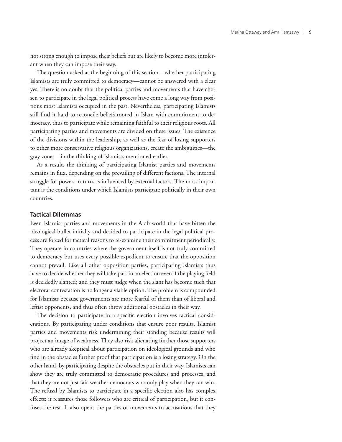not strong enough to impose their beliefs but are likely to become more intolerant when they can impose their way.

The question asked at the beginning of this section—whether participating Islamists are truly committed to democracy—cannot be answered with a clear yes. There is no doubt that the political parties and movements that have chosen to participate in the legal political process have come a long way from positions most Islamists occupied in the past. Nevertheless, participating Islamists still find it hard to reconcile beliefs rooted in Islam with commitment to democracy, thus to participate while remaining faithful to their religious roots. All participating parties and movements are divided on these issues. The existence of the divisions within the leadership, as well as the fear of losing supporters to other more conservative religious organizations, create the ambiguities—the gray zones—in the thinking of Islamists mentioned earlier.

As a result, the thinking of participating Islamist parties and movements remains in flux, depending on the prevailing of different factions. The internal struggle for power, in turn, is influenced by external factors. The most important is the conditions under which Islamists participate politically in their own countries.

#### **Tactical Dilemmas**

Even Islamist parties and movements in the Arab world that have bitten the ideological bullet initially and decided to participate in the legal political process are forced for tactical reasons to re-examine their commitment periodically. They operate in countries where the government itself is not truly committed to democracy but uses every possible expedient to ensure that the opposition cannot prevail. Like all other opposition parties, participating Islamists thus have to decide whether they will take part in an election even if the playing field is decidedly slanted; and they must judge when the slant has become such that electoral contestation is no longer a viable option. The problem is compounded for Islamists because governments are more fearful of them than of liberal and leftist opponents, and thus often throw additional obstacles in their way.

The decision to participate in a specific election involves tactical considerations. By participating under conditions that ensure poor results, Islamist parties and movements risk undermining their standing because results will project an image of weakness. They also risk alienating further those supporters who are already skeptical about participation on ideological grounds and who find in the obstacles further proof that participation is a losing strategy. On the other hand, by participating despite the obstacles put in their way, Islamists can show they are truly committed to democratic procedures and processes, and that they are not just fair-weather democrats who only play when they can win. The refusal by Islamists to participate in a specific election also has complex effects: it reassures those followers who are critical of participation, but it confuses the rest. It also opens the parties or movements to accusations that they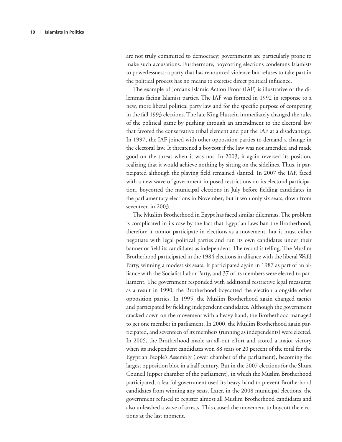are not truly committed to democracy; governments are particularly prone to make such accusations. Furthermore, boycotting elections condemns Islamists to powerlessness: a party that has renounced violence but refuses to take part in the political process has no means to exercise direct political influence.

The example of Jordan's Islamic Action Front (IAF) is illustrative of the dilemmas facing Islamist parties. The IAF was formed in 1992 in response to a new, more liberal political party law and for the specific purpose of competing in the fall 1993 elections. The late King Hussein immediately changed the rules of the political game by pushing through an amendment to the electoral law that favored the conservative tribal element and put the IAF at a disadvantage. In 1997, the IAF joined with other opposition parties to demand a change in the electoral law. It threatened a boycott if the law was not amended and made good on the threat when it was not. In 2003, it again reversed its position, realizing that it would achieve nothing by sitting on the sidelines. Thus, it participated although the playing field remained slanted. In 2007 the IAF, faced with a new wave of government imposed restrictions on its electoral participation, boycotted the municipal elections in July before fielding candidates in the parliamentary elections in November; but it won only six seats, down from seventeen in 2003.

The Muslim Brotherhood in Egypt has faced similar dilemmas. The problem is complicated in its case by the fact that Egyptian laws ban the Brotherhood; therefore it cannot participate in elections as a movement, but it must either negotiate with legal political parties and run its own candidates under their banner or field its candidates as independent. The record is telling. The Muslim Brotherhood participated in the 1984 elections in alliance with the liberal Wafd Party, winning a modest six seats. It participated again in 1987 as part of an alliance with the Socialist Labor Party, and 37 of its members were elected to parliament. The government responded with additional restrictive legal measures; as a result in 1990, the Brotherhood boycotted the election alongside other opposition parties. In 1995, the Muslim Brotherhood again changed tactics and participated by fielding independent candidates. Although the government cracked down on the movement with a heavy hand, the Brotherhood managed to get one member in parliament. In 2000, the Muslim Brotherhood again participated, and seventeen of its members (running as independents) were elected. In 2005, the Brotherhood made an all-out effort and scored a major victory when its independent candidates won 88 seats or 20 percent of the total for the Egyptian People's Assembly (lower chamber of the parliament), becoming the largest opposition bloc in a half century. But in the 2007 elections for the Shura Council (upper chamber of the parliament), in which the Muslim Brotherhood participated, a fearful government used its heavy hand to prevent Brotherhood candidates from winning any seats. Later, in the 2008 municipal elections, the government refused to register almost all Muslim Brotherhood candidates and also unleashed a wave of arrests. This caused the movement to boycott the elections at the last moment.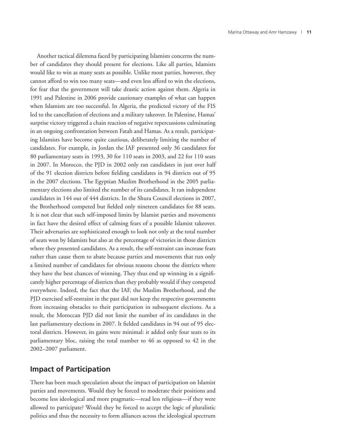Another tactical dilemma faced by participating Islamists concerns the number of candidates they should present for elections. Like all parties, Islamists would like to win as many seats as possible. Unlike most parties, however, they cannot afford to win too many seats—and even less afford to win the elections, for fear that the government will take drastic action against them. Algeria in 1991 and Palestine in 2006 provide cautionary examples of what can happen when Islamists are too successful. In Algeria, the predicted victory of the FIS led to the cancellation of elections and a military takeover. In Palestine, Hamas' surprise victory triggered a chain reaction of negative repercussions culminating in an ongoing confrontation between Fatah and Hamas. As a result, participating Islamists have become quite cautious, deliberately limiting the number of candidates. For example, in Jordan the IAF presented only 36 candidates for 80 parliamentary seats in 1993, 30 for 110 seats in 2003, and 22 for 110 seats in 2007. In Morocco, the PJD in 2002 only ran candidates in just over half of the 91 election districts before fielding candidates in 94 districts out of 95 in the 2007 elections. The Egyptian Muslim Brotherhood in the 2005 parliamentary elections also limited the number of its candidates. It ran independent candidates in 144 out of 444 districts. In the Shura Council elections in 2007, the Brotherhood competed but fielded only nineteen candidates for 88 seats. It is not clear that such self-imposed limits by Islamist parties and movements in fact have the desired effect of calming fears of a possible Islamist takeover. Their adversaries are sophisticated enough to look not only at the total number of seats won by Islamists but also at the percentage of victories in those districts where they presented candidates. As a result, the self-restraint can increase fears rather than cause them to abate because parties and movements that run only a limited number of candidates for obvious reasons choose the districts where they have the best chances of winning. They thus end up winning in a significantly higher percentage of districts than they probably would if they competed everywhere. Indeed, the fact that the IAF, the Muslim Brotherhood, and the PJD exercised self-restraint in the past did not keep the respective governments from increasing obstacles to their participation in subsequent elections. As a result, the Moroccan PJD did not limit the number of its candidates in the last parliamentary elections in 2007. It fielded candidates in 94 out of 95 electoral districts. However, its gains were minimal: it added only four seats to its parliamentary bloc, raising the total number to 46 as opposed to 42 in the 2002–2007 parliament.

#### **Impact of Participation**

There has been much speculation about the impact of participation on Islamist parties and movements. Would they be forced to moderate their positions and become less ideological and more pragmatic—read less religious—if they were allowed to participate? Would they be forced to accept the logic of pluralistic politics and thus the necessity to form alliances across the ideological spectrum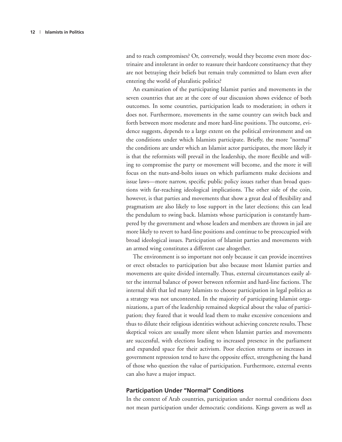and to reach compromises? Or, conversely, would they become even more doctrinaire and intolerant in order to reassure their hardcore constituency that they are not betraying their beliefs but remain truly committed to Islam even after entering the world of pluralistic politics?

An examination of the participating Islamist parties and movements in the seven countries that are at the core of our discussion shows evidence of both outcomes. In some countries, participation leads to moderation; in others it does not. Furthermore, movements in the same country can switch back and forth between more moderate and more hard-line positions. The outcome, evidence suggests, depends to a large extent on the political environment and on the conditions under which Islamists participate. Briefly, the more "normal" the conditions are under which an Islamist actor participates, the more likely it is that the reformists will prevail in the leadership, the more flexible and willing to compromise the party or movement will become, and the more it will focus on the nuts-and-bolts issues on which parliaments make decisions and issue laws—more narrow, specific public policy issues rather than broad questions with far-reaching ideological implications. The other side of the coin, however, is that parties and movements that show a great deal of flexibility and pragmatism are also likely to lose support in the later elections; this can lead the pendulum to swing back. Islamists whose participation is constantly hampered by the government and whose leaders and members are thrown in jail are more likely to revert to hard-line positions and continue to be preoccupied with broad ideological issues. Participation of Islamist parties and movements with an armed wing constitutes a different case altogether.

The environment is so important not only because it can provide incentives or erect obstacles to participation but also because most Islamist parties and movements are quite divided internally. Thus, external circumstances easily alter the internal balance of power between reformist and hard-line factions. The internal shift that led many Islamists to choose participation in legal politics as a strategy was not uncontested. In the majority of participating Islamist organizations, a part of the leadership remained skeptical about the value of participation; they feared that it would lead them to make excessive concessions and thus to dilute their religious identities without achieving concrete results. These skeptical voices are usually more silent when Islamist parties and movements are successful, with elections leading to increased presence in the parliament and expanded space for their activism. Poor election returns or increases in government repression tend to have the opposite effect, strengthening the hand of those who question the value of participation. Furthermore, external events can also have a major impact.

#### **Participation Under "Normal" Conditions**

In the context of Arab countries, participation under normal conditions does not mean participation under democratic conditions. Kings govern as well as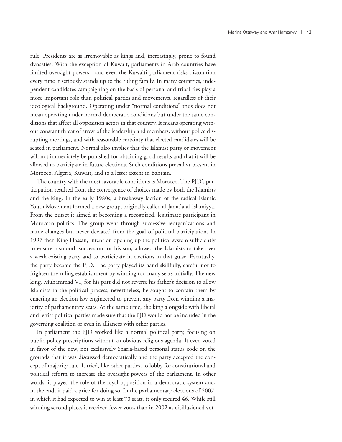rule. Presidents are as irremovable as kings and, increasingly, prone to found dynasties. With the exception of Kuwait, parliaments in Arab countries have limited oversight powers—and even the Kuwaiti parliament risks dissolution every time it seriously stands up to the ruling family. In many countries, independent candidates campaigning on the basis of personal and tribal ties play a more important role than political parties and movements, regardless of their ideological background. Operating under "normal conditions" thus does not mean operating under normal democratic conditions but under the same conditions that affect all opposition actors in that country. It means operating without constant threat of arrest of the leadership and members, without police disrupting meetings, and with reasonable certainty that elected candidates will be seated in parliament. Normal also implies that the Islamist party or movement will not immediately be punished for obtaining good results and that it will be allowed to participate in future elections. Such conditions prevail at present in Morocco, Algeria, Kuwait, and to a lesser extent in Bahrain.

The country with the most favorable conditions is Morocco. The PJD's participation resulted from the convergence of choices made by both the Islamists and the king. In the early 1980s, a breakaway faction of the radical Islamic Youth Movement formed a new group, originally called al-Jama`a al-Islamiyya. From the outset it aimed at becoming a recognized, legitimate participant in Moroccan politics. The group went through successive reorganizations and name changes but never deviated from the goal of political participation. In 1997 then King Hassan, intent on opening up the political system sufficiently to ensure a smooth succession for his son, allowed the Islamists to take over a weak existing party and to participate in elections in that guise. Eventually, the party became the PJD. The party played its hand skillfully, careful not to frighten the ruling establishment by winning too many seats initially. The new king, Muhammad VI, for his part did not reverse his father's decision to allow Islamists in the political process; nevertheless, he sought to contain them by enacting an election law engineered to prevent any party from winning a majority of parliamentary seats. At the same time, the king alongside with liberal and leftist political parties made sure that the PJD would not be included in the governing coalition or even in alliances with other parties.

In parliament the PJD worked like a normal political party, focusing on public policy prescriptions without an obvious religious agenda. It even voted in favor of the new, not exclusively Sharia-based personal status code on the grounds that it was discussed democratically and the party accepted the concept of majority rule. It tried, like other parties, to lobby for constitutional and political reform to increase the oversight powers of the parliament. In other words, it played the role of the loyal opposition in a democratic system and, in the end, it paid a price for doing so. In the parliamentary elections of 2007, in which it had expected to win at least 70 seats, it only secured 46. While still winning second place, it received fewer votes than in 2002 as disillusioned vot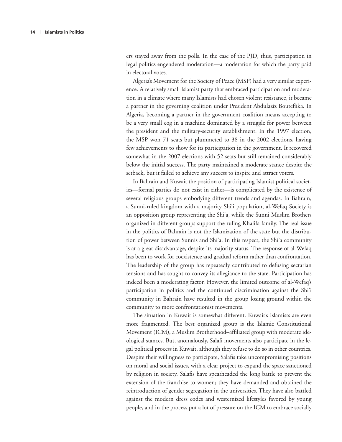ers stayed away from the polls. In the case of the PJD, thus, participation in legal politics engendered moderation—a moderation for which the party paid in electoral votes.

Algeria's Movement for the Society of Peace (MSP) had a very similar experience. A relatively small Islamist party that embraced participation and moderation in a climate where many Islamists had chosen violent resistance, it became a partner in the governing coalition under President Abdulaziz Bouteflika. In Algeria, becoming a partner in the government coalition means accepting to be a very small cog in a machine dominated by a struggle for power between the president and the military-security establishment. In the 1997 election, the MSP won 71 seats but plummeted to 38 in the 2002 elections, having few achievements to show for its participation in the government. It recovered somewhat in the 2007 elections with 52 seats but still remained considerably below the initial success. The party maintained a moderate stance despite the setback, but it failed to achieve any success to inspire and attract voters.

In Bahrain and Kuwait the position of participating Islamist political societies—formal parties do not exist in either—is complicated by the existence of several religious groups embodying different trends and agendas. In Bahrain, a Sunni-ruled kingdom with a majority Shi'i population, al-Wefaq Society is an opposition group representing the Shi'a, while the Sunni Muslim Brothers organized in different groups support the ruling Khalifa family. The real issue in the politics of Bahrain is not the Islamization of the state but the distribution of power between Sunnis and Shi'a. In this respect, the Shi'a community is at a great disadvantage, despite its majority status. The response of al-Wefaq has been to work for coexistence and gradual reform rather than confrontation. The leadership of the group has repeatedly contributed to defusing sectarian tensions and has sought to convey its allegiance to the state. Participation has indeed been a moderating factor. However, the limited outcome of al-Wefaq's participation in politics and the continued discrimination against the Shi'i community in Bahrain have resulted in the group losing ground within the community to more confrontationist movements.

The situation in Kuwait is somewhat different. Kuwait's Islamists are even more fragmented. The best organized group is the Islamic Constitutional Movement (ICM), a Muslim Brotherhood–affiliated group with moderate ideological stances. But, anomalously, Salafi movements also participate in the legal political process in Kuwait, although they refuse to do so in other countries. Despite their willingness to participate, Salafis take uncompromising positions on moral and social issues, with a clear project to expand the space sanctioned by religion in society. Salafis have spearheaded the long battle to prevent the extension of the franchise to women; they have demanded and obtained the reintroduction of gender segregation in the universities. They have also battled against the modern dress codes and westernized lifestyles favored by young people, and in the process put a lot of pressure on the ICM to embrace socially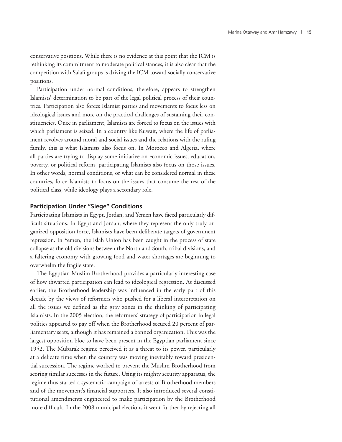conservative positions. While there is no evidence at this point that the ICM is rethinking its commitment to moderate political stances, it is also clear that the competition with Salafi groups is driving the ICM toward socially conservative positions.

Participation under normal conditions, therefore, appears to strengthen Islamists' determination to be part of the legal political process of their countries. Participation also forces Islamist parties and movements to focus less on ideological issues and more on the practical challenges of sustaining their constituencies. Once in parliament, Islamists are forced to focus on the issues with which parliament is seized. In a country like Kuwait, where the life of parliament revolves around moral and social issues and the relations with the ruling family, this is what Islamists also focus on. In Morocco and Algeria, where all parties are trying to display some initiative on economic issues, education, poverty, or political reform, participating Islamists also focus on those issues. In other words, normal conditions, or what can be considered normal in these countries, force Islamists to focus on the issues that consume the rest of the political class, while ideology plays a secondary role.

#### **Participation Under "Siege" Conditions**

Participating Islamists in Egypt, Jordan, and Yemen have faced particularly difficult situations. In Egypt and Jordan, where they represent the only truly organized opposition force, Islamists have been deliberate targets of government repression. In Yemen, the Islah Union has been caught in the process of state collapse as the old divisions between the North and South, tribal divisions, and a faltering economy with growing food and water shortages are beginning to overwhelm the fragile state.

The Egyptian Muslim Brotherhood provides a particularly interesting case of how thwarted participation can lead to ideological regression. As discussed earlier, the Brotherhood leadership was influenced in the early part of this decade by the views of reformers who pushed for a liberal interpretation on all the issues we defined as the gray zones in the thinking of participating Islamists. In the 2005 election, the reformers' strategy of participation in legal politics appeared to pay off when the Brotherhood secured 20 percent of parliamentary seats, although it has remained a banned organization. This was the largest opposition bloc to have been present in the Egyptian parliament since 1952. The Mubarak regime perceived it as a threat to its power, particularly at a delicate time when the country was moving inevitably toward presidential succession. The regime worked to prevent the Muslim Brotherhood from scoring similar successes in the future. Using its mighty security apparatus, the regime thus started a systematic campaign of arrests of Brotherhood members and of the movement's financial supporters. It also introduced several constitutional amendments engineered to make participation by the Brotherhood more difficult. In the 2008 municipal elections it went further by rejecting all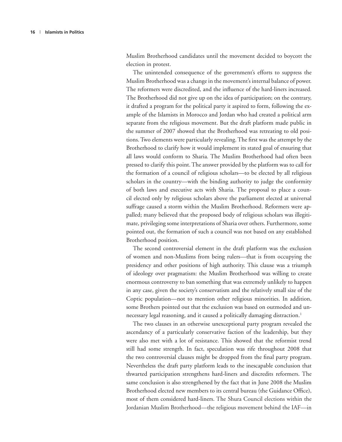Muslim Brotherhood candidates until the movement decided to boycott the election in protest.

The unintended consequence of the government's efforts to suppress the Muslim Brotherhood was a change in the movement's internal balance of power. The reformers were discredited, and the influence of the hard-liners increased. The Brotherhood did not give up on the idea of participation; on the contrary, it drafted a program for the political party it aspired to form, following the example of the Islamists in Morocco and Jordan who had created a political arm separate from the religious movement. But the draft platform made public in the summer of 2007 showed that the Brotherhood was retreating to old positions. Two elements were particularly revealing. The first was the attempt by the Brotherhood to clarify how it would implement its stated goal of ensuring that all laws would conform to Sharia*.* The Muslim Brotherhood had often been pressed to clarify this point. The answer provided by the platform was to call for the formation of a council of religious scholars—to be elected by all religious scholars in the country—with the binding authority to judge the conformity of both laws and executive acts with Sharia. The proposal to place a council elected only by religious scholars above the parliament elected at universal suffrage caused a storm within the Muslim Brotherhood. Reformers were appalled; many believed that the proposed body of religious scholars was illegitimate, privileging some interpretations of Sharia over others. Furthermore, some pointed out, the formation of such a council was not based on any established Brotherhood position.

The second controversial element in the draft platform was the exclusion of women and non-Muslims from being rulers—that is from occupying the presidency and other positions of high authority. This clause was a triumph of ideology over pragmatism: the Muslim Brotherhood was willing to create enormous controversy to ban something that was extremely unlikely to happen in any case, given the society's conservatism and the relatively small size of the Coptic population—not to mention other religious minorities. In addition, some Brothers pointed out that the exclusion was based on outmoded and unnecessary legal reasoning, and it caused a politically damaging distraction.<sup>1</sup>

The two clauses in an otherwise unexceptional party program revealed the ascendancy of a particularly conservative faction of the leadership, but they were also met with a lot of resistance. This showed that the reformist trend still had some strength. In fact, speculation was rife throughout 2008 that the two controversial clauses might be dropped from the final party program. Nevertheless the draft party platform leads to the inescapable conclusion that thwarted participation strengthens hard-liners and discredits reformers. The same conclusion is also strengthened by the fact that in June 2008 the Muslim Brotherhood elected new members to its central bureau (the Guidance Office), most of them considered hard-liners. The Shura Council elections within the Jordanian Muslim Brotherhood—the religious movement behind the IAF—in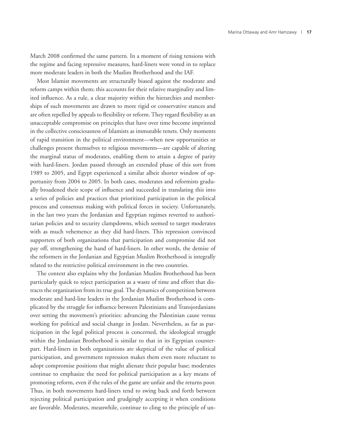March 2008 confirmed the same pattern. In a moment of rising tensions with the regime and facing repressive measures, hard-liners were voted in to replace more moderate leaders in both the Muslim Brotherhood and the IAF.

Most Islamist movements are structurally biased against the moderate and reform camps within them; this accounts for their relative marginality and limited influence. As a rule, a clear majority within the hierarchies and memberships of such movements are drawn to more rigid or conservative stances and are often repelled by appeals to flexibility or reform. They regard flexibility as an unacceptable compromise on principles that have over time become imprinted in the collective consciousness of Islamists as immutable tenets. Only moments of rapid transition in the political environment—when new opportunities or challenges present themselves to religious movements—are capable of altering the marginal status of moderates, enabling them to attain a degree of parity with hard-liners. Jordan passed through an extended phase of this sort from 1989 to 2005, and Egypt experienced a similar albeit shorter window of opportunity from 2004 to 2005. In both cases, moderates and reformists gradually broadened their scope of influence and succeeded in translating this into a series of policies and practices that prioritized participation in the political process and consensus making with political forces in society. Unfortunately, in the last two years the Jordanian and Egyptian regimes reverted to authoritarian policies and to security clampdowns, which seemed to target moderates with as much vehemence as they did hard-liners. This repression convinced supporters of both organizations that participation and compromise did not pay off, strengthening the hand of hard-liners. In other words, the demise of the reformers in the Jordanian and Egyptian Muslim Brotherhood is integrally related to the restrictive political environment in the two countries.

The context also explains why the Jordanian Muslim Brotherhood has been particularly quick to reject participation as a waste of time and effort that distracts the organization from its true goal. The dynamics of competition between moderate and hard-line leaders in the Jordanian Muslim Brotherhood is complicated by the struggle for influence between Palestinians and Transjordanians over setting the movement's priorities: advancing the Palestinian cause versus working for political and social change in Jordan. Nevertheless, as far as participation in the legal political process is concerned, the ideological struggle within the Jordanian Brotherhood is similar to that in its Egyptian counterpart. Hard-liners in both organizations are skeptical of the value of political participation, and government repression makes them even more reluctant to adopt compromise positions that might alienate their popular base; moderates continue to emphasize the need for political participation as a key means of promoting reform, even if the rules of the game are unfair and the returns poor. Thus, in both movements hard-liners tend to swing back and forth between rejecting political participation and grudgingly accepting it when conditions are favorable. Moderates, meanwhile, continue to cling to the principle of un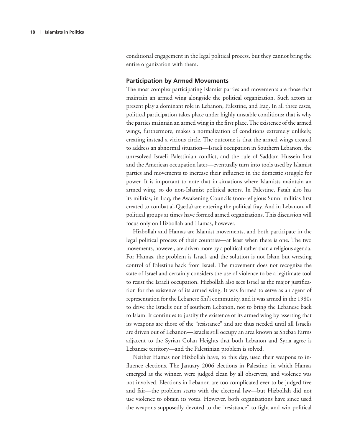conditional engagement in the legal political process, but they cannot bring the entire organization with them.

#### **Participation by Armed Movements**

The most complex participating Islamist parties and movements are those that maintain an armed wing alongside the political organization. Such actors at present play a dominant role in Lebanon, Palestine, and Iraq. In all three cases, political participation takes place under highly unstable conditions; that is why the parties maintain an armed wing in the first place. The existence of the armed wings, furthermore, makes a normalization of conditions extremely unlikely, creating instead a vicious circle. The outcome is that the armed wings created to address an abnormal situation—Israeli occupation in Southern Lebanon, the unresolved Israeli–Palestinian conflict, and the rule of Saddam Hussein first and the American occupation later—eventually turn into tools used by Islamist parties and movements to increase their influence in the domestic struggle for power. It is important to note that in situations where Islamists maintain an armed wing, so do non-Islamist political actors. In Palestine, Fatah also has its militias; in Iraq, the Awakening Councils (non-religious Sunni militias first created to combat al-Qaeda) are entering the political fray. And in Lebanon, all political groups at times have formed armed organizations. This discussion will focus only on Hizbollah and Hamas, however.

Hizbollah and Hamas are Islamist movements, and both participate in the legal political process of their countries—at least when there is one. The two movements, however, are driven more by a political rather than a religious agenda. For Hamas, the problem is Israel, and the solution is not Islam but wresting control of Palestine back from Israel. The movement does not recognize the state of Israel and certainly considers the use of violence to be a legitimate tool to resist the Israeli occupation. Hizbollah also sees Israel as the major justification for the existence of its armed wing. It was formed to serve as an agent of representation for the Lebanese Shi'i community, and it was armed in the 1980s to drive the Israelis out of southern Lebanon, not to bring the Lebanese back to Islam. It continues to justify the existence of its armed wing by asserting that its weapons are those of the "resistance" and are thus needed until all Israelis are driven out of Lebanon—Israelis still occupy an area known as Shebaa Farms adjacent to the Syrian Golan Heights that both Lebanon and Syria agree is Lebanese territory—and the Palestinian problem is solved.

Neither Hamas nor Hizbollah have, to this day, used their weapons to influence elections. The January 2006 elections in Palestine, in which Hamas emerged as the winner, were judged clean by all observers, and violence was not involved. Elections in Lebanon are too complicated ever to be judged free and fair—the problem starts with the electoral law—but Hizbollah did not use violence to obtain its votes. However, both organizations have since used the weapons supposedly devoted to the "resistance" to fight and win political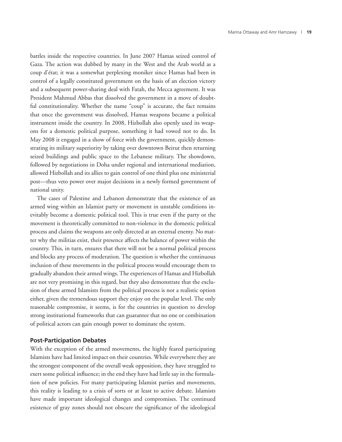battles inside the respective countries. In June 2007 Hamas seized control of Gaza. The action was dubbed by many in the West and the Arab world as a coup d'état; it was a somewhat perplexing moniker since Hamas had been in control of a legally constituted government on the basis of an election victory and a subsequent power-sharing deal with Fatah, the Mecca agreement. It was President Mahmud Abbas that dissolved the government in a move of doubtful constitutionality. Whether the name "coup" is accurate, the fact remains that once the government was dissolved, Hamas weapons became a political instrument inside the country. In 2008, Hizbollah also openly used its weapons for a domestic political purpose, something it had vowed not to do. In May 2008 it engaged in a show of force with the government, quickly demonstrating its military superiority by taking over downtown Beirut then returning seized buildings and public space to the Lebanese military. The showdown, followed by negotiations in Doha under regional and international mediation, allowed Hizbollah and its allies to gain control of one third plus one ministerial post—thus veto power over major decisions in a newly formed government of national unity.

The cases of Palestine and Lebanon demonstrate that the existence of an armed wing within an Islamist party or movement in unstable conditions inevitably become a domestic political tool. This is true even if the party or the movement is theoretically committed to non-violence in the domestic political process and claims the weapons are only directed at an external enemy. No matter why the militias exist, their presence affects the balance of power within the country. This, in turn, ensures that there will not be a normal political process and blocks any process of moderation. The question is whether the continuous inclusion of these movements in the political process would encourage them to gradually abandon their armed wings. The experiences of Hamas and Hizbollah are not very promising in this regard, but they also demonstrate that the exclusion of these armed Islamists from the political process is not a realistic option either, given the tremendous support they enjoy on the popular level. The only reasonable compromise, it seems, is for the countries in question to develop strong institutional frameworks that can guarantee that no one or combination of political actors can gain enough power to dominate the system.

#### **Post-Participation Debates**

With the exception of the armed movements, the highly feared participating Islamists have had limited impact on their countries. While everywhere they are the strongest component of the overall weak opposition, they have struggled to exert some political influence; in the end they have had little say in the formulation of new policies. For many participating Islamist parties and movements, this reality is leading to a crisis of sorts or at least to active debate. Islamists have made important ideological changes and compromises. The continued existence of gray zones should not obscure the significance of the ideological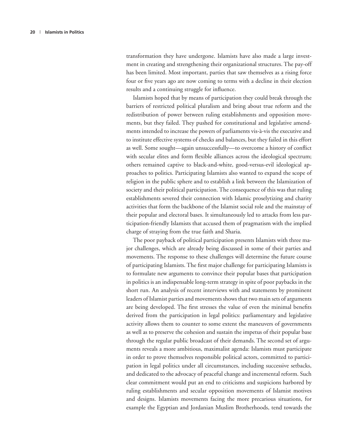transformation they have undergone. Islamists have also made a large investment in creating and strengthening their organizational structures. The pay-off has been limited. Most important, parties that saw themselves as a rising force four or five years ago are now coming to terms with a decline in their election results and a continuing struggle for influence.

Islamists hoped that by means of participation they could break through the barriers of restricted political pluralism and bring about true reform and the redistribution of power between ruling establishments and opposition movements, but they failed. They pushed for constitutional and legislative amendments intended to increase the powers of parliaments vis-à-vis the executive and to institute effective systems of checks and balances, but they failed in this effort as well. Some sought—again unsuccessfully—to overcome a history of conflict with secular elites and form flexible alliances across the ideological spectrum; others remained captive to black-and-white, good-versus-evil ideological approaches to politics. Participating Islamists also wanted to expand the scope of religion in the public sphere and to establish a link between the Islamization of society and their political participation. The consequence of this was that ruling establishments severed their connection with Islamic proselytizing and charity activities that form the backbone of the Islamist social role and the mainstay of their popular and electoral bases. It simultaneously led to attacks from less participation-friendly Islamists that accused them of pragmatism with the implied charge of straying from the true faith and Sharia.

The poor payback of political participation presents Islamists with three major challenges, which are already being discussed in some of their parties and movements. The response to these challenges will determine the future course of participating Islamists. The first major challenge for participating Islamists is to formulate new arguments to convince their popular bases that participation in politics is an indispensable long-term strategy in spite of poor paybacks in the short run. An analysis of recent interviews with and statements by prominent leaders of Islamist parties and movements shows that two main sets of arguments are being developed. The first stresses the value of even the minimal benefits derived from the participation in legal politics: parliamentary and legislative activity allows them to counter to some extent the maneuvers of governments as well as to preserve the cohesion and sustain the impetus of their popular base through the regular public broadcast of their demands. The second set of arguments reveals a more ambitious, maximalist agenda: Islamists must participate in order to prove themselves responsible political actors, committed to participation in legal politics under all circumstances, including successive setbacks, and dedicated to the advocacy of peaceful change and incremental reform. Such clear commitment would put an end to criticisms and suspicions harbored by ruling establishments and secular opposition movements of Islamist motives and designs. Islamists movements facing the more precarious situations, for example the Egyptian and Jordanian Muslim Brotherhoods, tend towards the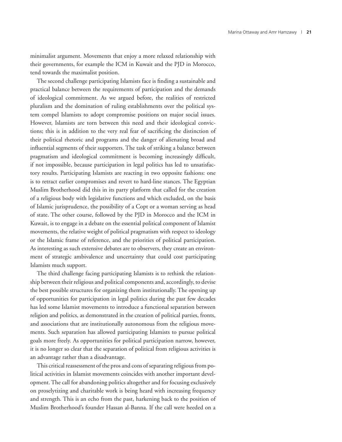minimalist argument. Movements that enjoy a more relaxed relationship with their governments, for example the ICM in Kuwait and the PJD in Morocco, tend towards the maximalist position.

The second challenge participating Islamists face is finding a sustainable and practical balance between the requirements of participation and the demands of ideological commitment. As we argued before, the realities of restricted pluralism and the domination of ruling establishments over the political system compel Islamists to adopt compromise positions on major social issues. However, Islamists are torn between this need and their ideological convictions; this is in addition to the very real fear of sacrificing the distinction of their political rhetoric and programs and the danger of alienating broad and influential segments of their supporters. The task of striking a balance between pragmatism and ideological commitment is becoming increasingly difficult, if not impossible, because participation in legal politics has led to unsatisfactory results. Participating Islamists are reacting in two opposite fashions: one is to retract earlier compromises and revert to hard-line stances. The Egyptian Muslim Brotherhood did this in its party platform that called for the creation of a religious body with legislative functions and which excluded, on the basis of Islamic jurisprudence, the possibility of a Copt or a woman serving as head of state. The other course, followed by the PJD in Morocco and the ICM in Kuwait, is to engage in a debate on the essential political component of Islamist movements, the relative weight of political pragmatism with respect to ideology or the Islamic frame of reference, and the priorities of political participation. As interesting as such extensive debates are to observers, they create an environment of strategic ambivalence and uncertainty that could cost participating Islamists much support.

The third challenge facing participating Islamists is to rethink the relationship between their religious and political components and, accordingly, to devise the best possible structures for organizing them institutionally. The opening up of opportunities for participation in legal politics during the past few decades has led some Islamist movements to introduce a functional separation between religion and politics, as demonstrated in the creation of political parties, fronts, and associations that are institutionally autonomous from the religious movements. Such separation has allowed participating Islamists to pursue political goals more freely. As opportunities for political participation narrow, however, it is no longer so clear that the separation of political from religious activities is an advantage rather than a disadvantage.

This critical reassessment of the pros and cons of separating religious from political activities in Islamist movements coincides with another important development. The call for abandoning politics altogether and for focusing exclusively on proselytizing and charitable work is being heard with increasing frequency and strength. This is an echo from the past, harkening back to the position of Muslim Brotherhood's founder Hassan al-Banna. If the call were heeded on a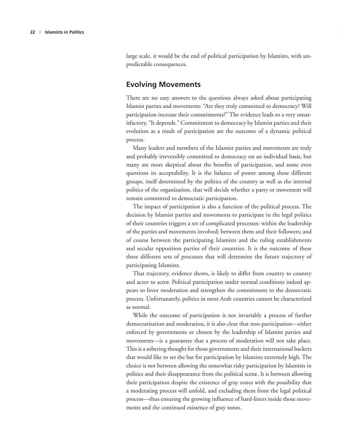large scale, it would be the end of political participation by Islamists, with unpredictable consequences.

#### **Evolving Movements**

There are no easy answers to the questions always asked about participating Islamist parties and movements: "Are they truly committed to democracy? Will participation increase their commitments?" The evidence leads to a very unsatisfactory, "It depends." Commitment to democracy by Islamist parties and their evolution as a result of participation are the outcome of a dynamic political process.

Many leaders and members of the Islamist parties and movements are truly and probably irreversibly committed to democracy on an individual basis, but many are more skeptical about the benefits of participation, and some even questions its acceptability. It is the balance of power among these different groups, itself determined by the politics of the country as well as the internal politics of the organization, that will decide whether a party or movement will remain committed to democratic participation.

The impact of participation is also a function of the political process. The decision by Islamist parties and movements to participate in the legal politics of their countries triggers a set of complicated processes: within the leadership of the parties and movements involved; between them and their followers; and of course between the participating Islamists and the ruling establishments and secular opposition parties of their countries. It is the outcome of these three different sets of processes that will determine the future trajectory of participating Islamists.

That trajectory, evidence shows, is likely to differ from country to country and actor to actor. Political participation under normal conditions indeed appears to favor moderation and strengthen the commitment to the democratic process. Unfortunately, politics in most Arab countries cannot be characterized as normal.

While the outcome of participation is not invariably a process of further democratization and moderation, it is also clear that non-participation—either enforced by governments or chosen by the leadership of Islamist parties and movements—is a guarantee that a process of moderation will not take place. This is a sobering thought for those governments and their international backers that would like to set the bar for participation by Islamists extremely high. The choice is not between allowing the somewhat risky participation by Islamists in politics and their disappearance from the political scene. It is between allowing their participation despite the existence of gray zones with the possibility that a moderating process will unfold, and excluding them from the legal political process—thus ensuring the growing influence of hard-liners inside those movements and the continued existence of gray zones.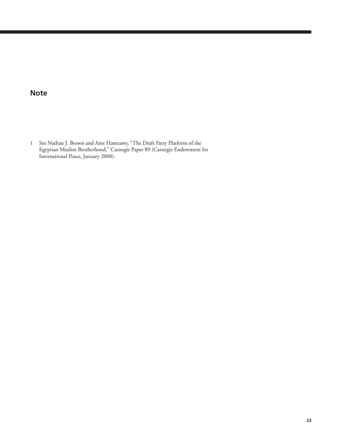### **Note**

1 See Nathan J. Brown and Amr Hamzawy, "The Draft Party Platform of the Egyptian Muslim Brotherhood," Carnegie Paper 89 (Carnegie Endowment for International Peace, January 2008).

Valery Tishkov | **23**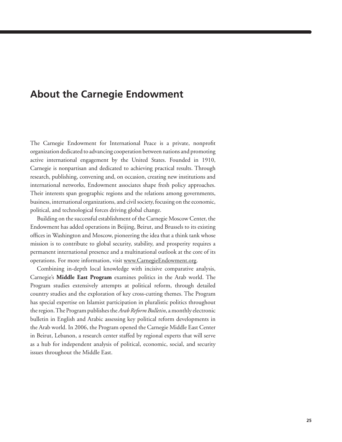### **About the Carnegie Endowment**

The Carnegie Endowment for International Peace is a private, nonprofit organization dedicated to advancing cooperation between nations and promoting active international engagement by the United States. Founded in 1910, Carnegie is nonpartisan and dedicated to achieving practical results. Through research, publishing, convening and, on occasion, creating new institutions and international networks, Endowment associates shape fresh policy approaches. Their interests span geographic regions and the relations among governments, business, international organizations, and civil society, focusing on the economic, political, and technological forces driving global change.

Building on the successful establishment of the Carnegie Moscow Center, the Endowment has added operations in Beijing, Beirut, and Brussels to its existing offices in Washington and Moscow, pioneering the idea that a think tank whose mission is to contribute to global security, stability, and prosperity requires a permanent international presence and a multinational outlook at the core of its operations. For more information, visit www.CarnegieEndowment.org.

Combining in-depth local knowledge with incisive comparative analysis, Carnegie's **Middle East Program** examines politics in the Arab world. The Program studies extensively attempts at political reform, through detailed country studies and the exploration of key cross-cutting themes. The Program has special expertise on Islamist participation in pluralistic politics throughout the region. The Program publishes the *Arab Reform Bulletin*, a monthly electronic bulletin in English and Arabic assessing key political reform developments in the Arab world. In 2006, the Program opened the Carnegie Middle East Center in Beirut, Lebanon, a research center staffed by regional experts that will serve as a hub for independent analysis of political, economic, social, and security issues throughout the Middle East.

Valery Tishkov | **25**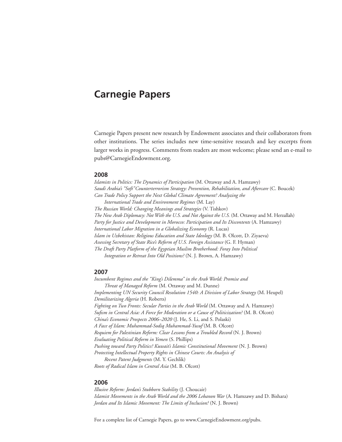## **Carnegie Papers**

Carnegie Papers present new research by Endowment associates and their collaborators from other institutions. The series includes new time-sensitive research and key excerpts from larger works in progress. Comments from readers are most welcome; please send an e-mail to pubs@CarnegieEndowment.org.

#### **200**

*Islamists in Politics: The Dynamics of Participation* (M. Ottaway and A. Hamzawy) *Saudi Arabia's "Soft"Counterterrorism Strategy: Prevention, Rehabilitation, and Aftercare* (C. Boucek) *Can Trade Policy Support the Next Global Climate Agreement? Analyzing the International Trade and Environment Regimes* (M. Lay) *The Russian World: Changing Meanings and Strategies* (V. Tishkov) *The New Arab Diplomacy: Not With the U.S. and Not Against the U.S.* (M. Ottaway and M. Herzallah) *Party for Justice and Development in Morocco: Participation and Its Discontents* (A. Hamzawy) *International Labor Migration in a Globalizing Economy* (R. Lucas) *Islam in Uzbekistan: Religious Education and State Ideology* (M. B. Olcott, D. Ziyaeva) *Assessing Secretary of State Rice's Reform of U.S. Foreign Assistance* (G. F. Hyman) *The Draft Party Platform of the Egyptian Muslim Brotherhood: Foray Into Political Integration or Retreat Into Old Positions?* (N. J. Brown, A. Hamzawy)

#### **200**

*Incumbent Regimes and the "King's Dilemma" in the Arab World: Promise and Threat of Managed Reform* (M. Ottaway and M. Dunne) *Implementing UN Security Council Resolution 1540: A Division of Labor Strategy* (M. Heupel) *Demilitarizing Algeria* (H. Roberts) *Fighting on Two Fronts: Secular Parties in the Arab World* (M. Ottaway and A. Hamzawy) *Sufism in Central Asia: A Force for Moderation or a Cause of Politicization?* (M. B. Olcott) *China's Economic Prospects 2006–2020* (J. He, S. Li, and S. Polaski) *A Face of Islam: Muhammad-Sodiq Muhammad-Yusuf* (M. B. Olcott) *Requiem for Palestinian Reform: Clear Lessons from a Troubled Record* (N. J. Brown) *Evaluating Political Reform in Yemen* (S. Phillips) *Pushing toward Party Politics? Kuwait's Islamic Constitutional Movement* (N. J. Brown) *Protecting Intellectual Property Rights in Chinese Courts: An Analysis of Recent Patent Judgments* (M. Y. Gechlik) *Roots of Radical Islam in Central Asia* (M. B. Olcott)

#### **200**

*Illusive Reform: Jordan's Stubborn Stability* (J. Choucair) *Islamist Movements in the Arab World and the 2006 Lebanon War* (A. Hamzawy and D. Bishara) *Jordan and Its Islamic Movement: The Limits of Inclusion?* (N. J. Brown)

For a complete list of Carnegie Papers, go to www.CarnegieEndowment.org/pubs.